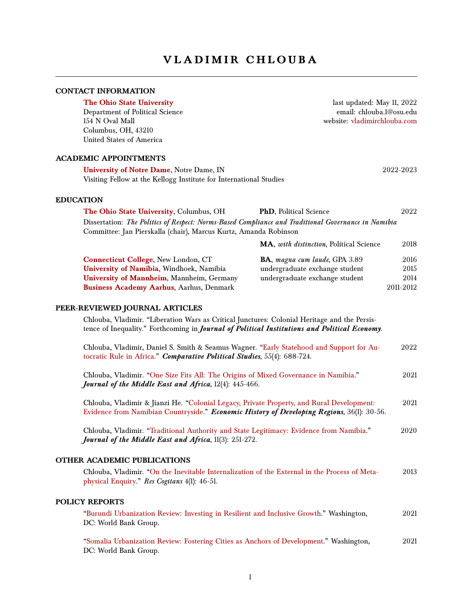# **VLADIMIR CHLOUBA**

### **CONTACT INFORMATION**

**[The Ohio State University](https://www.polisci.osu.edu/)** last updated: May 11, 2022<br>Department of Political Science enables are email: chlouba.1@osu.edu Department of Political Science 154 N Oval Mall website: [vladimirchlouba.com](https://www.vladimirchlouba.com/) Columbus, OH, 43210 United States of America

**ACADEMIC APPOINTMENTS**

| <b>University of Notre Dame, Notre Dame, IN</b>                    | 2022-2023 |
|--------------------------------------------------------------------|-----------|
| Visiting Fellow at the Kellogg Institute for International Studies |           |

#### **EDUCATION**

| <b>PhD</b> , Political Science          | 2022                                                                                                                                                                    |
|-----------------------------------------|-------------------------------------------------------------------------------------------------------------------------------------------------------------------------|
|                                         |                                                                                                                                                                         |
|                                         |                                                                                                                                                                         |
| MA, with distinction, Political Science | 2018                                                                                                                                                                    |
| <b>BA</b> , magna cum laude, GPA 3.89   | 2016                                                                                                                                                                    |
| undergraduate exchange student          | 2015                                                                                                                                                                    |
| undergraduate exchange student          | 2014                                                                                                                                                                    |
|                                         | 2011-2012                                                                                                                                                               |
|                                         | Dissertation: The Politics of Respect: Norms-Based Compliance and Traditional Governance in Namibia<br>Committee: Jan Pierskalla (chair), Marcus Kurtz, Amanda Robinson |

#### **PEER-REVIEWED JOURNAL ARTICLES**

Chlouba, Vladimir. "Liberation Wars as Critical Junctures: Colonial Heritage and the Persistence of Inequality." Forthcoming in *Journal of Political Institutions and Political Economy.*

| Chlouba, Vladimir, Daniel S. Smith & Seamus Wagner. "Early Statehood and Support for Au-<br>tocratic Rule in Africa." Comparative Political Studies, 55(4): 688-724.                    | 2022 |
|-----------------------------------------------------------------------------------------------------------------------------------------------------------------------------------------|------|
| Chlouba, Vladimir. "One Size Fits All: The Origins of Mixed Governance in Namibia."<br>Journal of the Middle East and Africa, 12(4): 445-466.                                           | 2021 |
| Chlouba, Vladimir & Jianzi He. "Colonial Legacy, Private Property, and Rural Development:<br>Evidence from Namibian Countryside." Economic History of Developing Regions, 36(1): 30-56. | 2021 |
| Chlouba, Vladimir. "Traditional Authority and State Legitimacy: Evidence from Namibia."<br>Journal of the Middle East and Africa, 11(3): 251-272.                                       | 2020 |
| <b>OTHER ACADEMIC PUBLICATIONS</b>                                                                                                                                                      |      |
| Chlouba, Vladimir. "On the Inevitable Internalization of the External in the Process of Meta-<br>physical Enquiry." Res Cogitans 4(1): 46-51.                                           | 2013 |
| <b>POLICY REPORTS</b>                                                                                                                                                                   |      |
| "Burundi Urbanization Review: Investing in Resilient and Inclusive Growth." Washington,<br>DC: World Bank Group.                                                                        | 2021 |
| "Somalia Urbanization Review: Fostering Cities as Anchors of Development." Washington,<br>DC: World Bank Group.                                                                         | 2021 |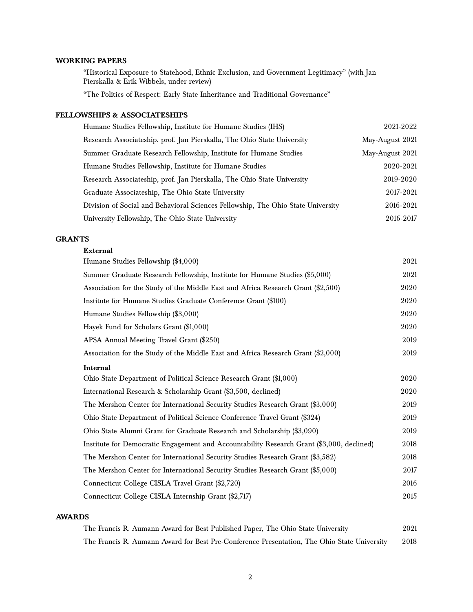# **WORKING PAPERS**

"Historical Exposure to Statehood, Ethnic Exclusion, and Government Legitimacy" (with Jan Pierskalla & Erik Wibbels, under review)

"The Politics of Respect: Early State Inheritance and Traditional Governance"

## **FELLOWSHIPS & ASSOCIATESHIPS**

| Humane Studies Fellowship, Institute for Humane Studies (IHS)                    | 2021-2022       |
|----------------------------------------------------------------------------------|-----------------|
| Research Associateship, prof. Jan Pierskalla, The Ohio State University          | May-August 2021 |
| Summer Graduate Research Fellowship, Institute for Humane Studies                | May-August 2021 |
| Humane Studies Fellowship, Institute for Humane Studies                          | 2020-2021       |
| Research Associateship, prof. Jan Pierskalla, The Ohio State University          | 2019-2020       |
| Graduate Associateship, The Ohio State University                                | 2017-2021       |
| Division of Social and Behavioral Sciences Fellowship, The Ohio State University | 2016-2021       |
| University Fellowship, The Ohio State University                                 | 2016-2017       |

### **GRANTS**

#### **External**

| Humane Studies Fellowship (\$4,000)                                                       | 2021 |  |
|-------------------------------------------------------------------------------------------|------|--|
| Summer Graduate Research Fellowship, Institute for Humane Studies (\$5,000)               | 2021 |  |
| Association for the Study of the Middle East and Africa Research Grant (\$2,500)          | 2020 |  |
| Institute for Humane Studies Graduate Conference Grant (\$100)                            | 2020 |  |
| Humane Studies Fellowship (\$3,000)                                                       | 2020 |  |
| Hayek Fund for Scholars Grant (\$1,000)                                                   |      |  |
| APSA Annual Meeting Travel Grant (\$250)                                                  | 2019 |  |
| Association for the Study of the Middle East and Africa Research Grant (\$2,000)          | 2019 |  |
| Internal                                                                                  |      |  |
| Ohio State Department of Political Science Research Grant (\$1,000)                       | 2020 |  |
| International Research & Scholarship Grant (\$3,500, declined)                            | 2020 |  |
| The Mershon Center for International Security Studies Research Grant (\$3,000)            | 2019 |  |
| Ohio State Department of Political Science Conference Travel Grant (\$324)                | 2019 |  |
| Ohio State Alumni Grant for Graduate Research and Scholarship (\$3,090)                   | 2019 |  |
| Institute for Democratic Engagement and Accountability Research Grant (\$3,000, declined) | 2018 |  |
| The Mershon Center for International Security Studies Research Grant (\$3,582)            | 2018 |  |
| The Mershon Center for International Security Studies Research Grant (\$5,000)            | 2017 |  |
| Connecticut College CISLA Travel Grant (\$2,720)                                          | 2016 |  |
| Connecticut College CISLA Internship Grant (\$2,717)                                      |      |  |

#### **AWARDS**

|  |  | The Francis R. Aumann Award for Best Published Paper, The Ohio State University             | 2021 |
|--|--|---------------------------------------------------------------------------------------------|------|
|  |  | The Francis R. Aumann Award for Best Pre-Conference Presentation, The Ohio State University | 2018 |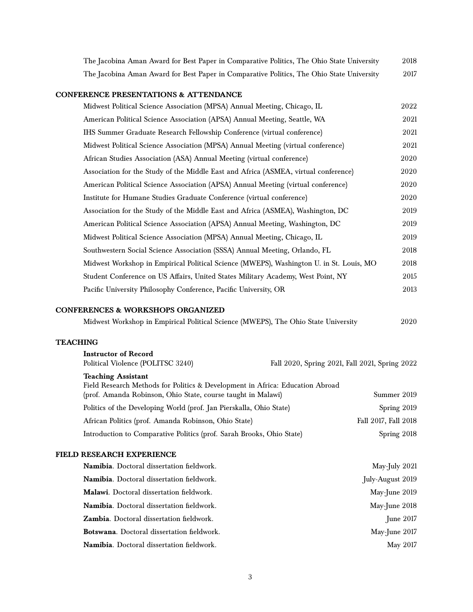| The Jacobina Aman Award for Best Paper in Comparative Politics, The Ohio State University                                                                                  | 2018                 |
|----------------------------------------------------------------------------------------------------------------------------------------------------------------------------|----------------------|
| The Jacobina Aman Award for Best Paper in Comparative Politics, The Ohio State University                                                                                  | 2017                 |
| <b>CONFERENCE PRESENTATIONS &amp; ATTENDANCE</b>                                                                                                                           |                      |
| Midwest Political Science Association (MPSA) Annual Meeting, Chicago, IL                                                                                                   | 2022                 |
| American Political Science Association (APSA) Annual Meeting, Seattle, WA                                                                                                  | 2021                 |
| IHS Summer Graduate Research Fellowship Conference (virtual conference)                                                                                                    | 2021                 |
| Midwest Political Science Association (MPSA) Annual Meeting (virtual conference)                                                                                           | 2021                 |
| African Studies Association (ASA) Annual Meeting (virtual conference)                                                                                                      | 2020                 |
| Association for the Study of the Middle East and Africa (ASMEA, virtual conference)                                                                                        | 2020                 |
| American Political Science Association (APSA) Annual Meeting (virtual conference)                                                                                          | 2020                 |
| Institute for Humane Studies Graduate Conference (virtual conference)                                                                                                      | 2020                 |
| Association for the Study of the Middle East and Africa (ASMEA), Washington, DC                                                                                            | 2019                 |
| American Political Science Association (APSA) Annual Meeting, Washington, DC                                                                                               | 2019                 |
| Midwest Political Science Association (MPSA) Annual Meeting, Chicago, IL                                                                                                   | 2019                 |
| Southwestern Social Science Association (SSSA) Annual Meeting, Orlando, FL                                                                                                 | 2018                 |
| Midwest Workshop in Empirical Political Science (MWEPS), Washington U. in St. Louis, MO                                                                                    | 2018                 |
| Student Conference on US Affairs, United States Military Academy, West Point, NY                                                                                           | 2015                 |
| Pacific University Philosophy Conference, Pacific University, OR                                                                                                           | 2013                 |
| <b>CONFERENCES &amp; WORKSHOPS ORGANIZED</b>                                                                                                                               |                      |
| Midwest Workshop in Empirical Political Science (MWEPS), The Ohio State University                                                                                         | 2020                 |
| <b>TEACHING</b>                                                                                                                                                            |                      |
| <b>Instructor of Record</b><br>Political Violence (POLITSC 3240)<br>Fall 2020, Spring 2021, Fall 2021, Spring 2022                                                         |                      |
| <b>Teaching Assistant</b><br>Field Research Methods for Politics & Development in Africa: Education Abroad<br>(prof. Amanda Robinson, Ohio State, course taught in Malawi) | Summer 2019          |
| Politics of the Developing World (prof. Jan Pierskalla, Ohio State)                                                                                                        | Spring 2019          |
| African Politics (prof. Amanda Robinson, Ohio State)                                                                                                                       | Fall 2017, Fall 2018 |
| Introduction to Comparative Politics (prof. Sarah Brooks, Ohio State)                                                                                                      | Spring 2018          |
| <b>FIELD RESEARCH EXPERIENCE</b>                                                                                                                                           |                      |
| Namibia. Doctoral dissertation fieldwork.                                                                                                                                  | May-July 2021        |
| Namibia. Doctoral dissertation fieldwork.                                                                                                                                  | July-August 2019     |
| Malawi. Doctoral dissertation fieldwork.                                                                                                                                   | May-June 2019        |
| Namibia. Doctoral dissertation fieldwork.                                                                                                                                  | May-June 2018        |
| Zambia. Doctoral dissertation fieldwork.                                                                                                                                   | June 2017            |
| Botswana. Doctoral dissertation fieldwork.                                                                                                                                 | May-June 2017        |

**Namibia**. Doctoral dissertation fieldwork. May 2017